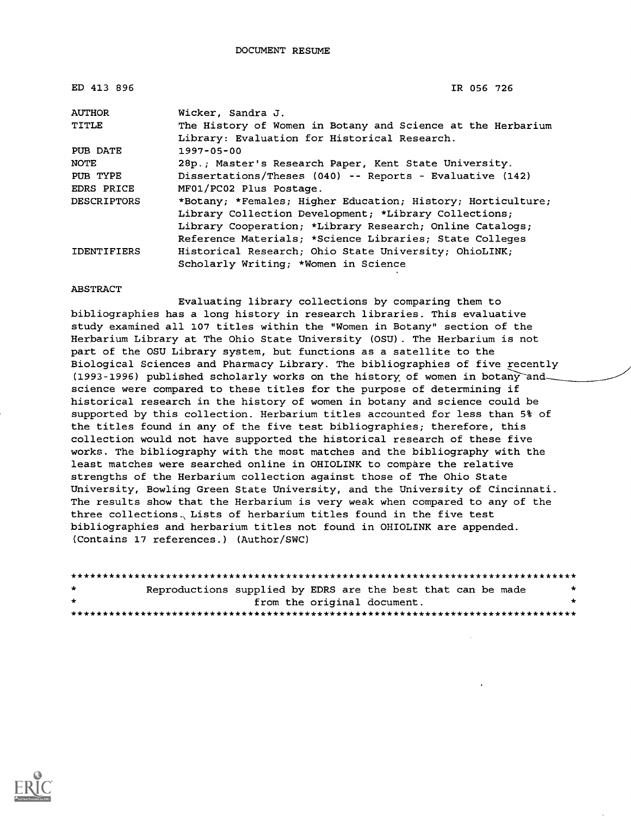| ED 413 896         | IR 056 726                                                  |
|--------------------|-------------------------------------------------------------|
| <b>AUTHOR</b>      | Wicker, Sandra J.                                           |
| TITLE              | The History of Women in Botany and Science at the Herbarium |
|                    | Library: Evaluation for Historical Research.                |
| PUB DATE           | $1997 - 05 - 00$                                            |
| <b>NOTE</b>        | 28p.; Master's Research Paper, Kent State University.       |
| PUB TYPE           | Dissertations/Theses (040) -- Reports - Evaluative (142)    |
| EDRS PRICE         | MF01/PC02 Plus Postage.                                     |
| <b>DESCRIPTORS</b> | *Botany; *Females; Higher Education; History; Horticulture; |
|                    | Library Collection Development; *Library Collections;       |
|                    | Library Cooperation; *Library Research; Online Catalogs;    |
|                    | Reference Materials; *Science Libraries; State Colleges     |
| <b>IDENTIFIERS</b> | Historical Research; Ohio State University; OhioLINK;       |
|                    | Scholarly Writing; *Women in Science                        |

#### ABSTRACT

Evaluating library collections by comparing them to bibliographies has a long history in research libraries. This evaluative study examined all 107 titles within the "Women in Botany" section of the Herbarium Library at The Ohio State University (OSU). The Herbarium is not part of the OSU Library system, but functions as a satellite to the Biological Sciences and Pharmacy Library. The bibliographies of five recently (1993-1996) published scholarly works on the history of women in botany and science were compared to these titles for the purpose of determining if historical research in the history of women in botany and science could be supported by this collection. Herbarium titles accounted for less than 5% of the titles found in any of the five test bibliographies; therefore, this collection would not have supported the historical research of these five works. The bibliography with the most matches and the bibliography with the least matches were searched online in OHIOLINK to compare the relative strengths of the Herbarium collection against those of The Ohio State University, Bowling Green State University, and the University of Cincinnati. The results show that the Herbarium is very weak when compared to any of the three collections. Lists of herbarium titles found in the five test bibliographies and herbarium titles not found in OHIOLINK are appended. (Contains 17 references.) (Author/SWC)

| $\star$ | Reproductions supplied by EDRS are the best that can be made |  |                             |  |   |
|---------|--------------------------------------------------------------|--|-----------------------------|--|---|
| $\star$ |                                                              |  | from the original document. |  | ÷ |
|         |                                                              |  |                             |  |   |

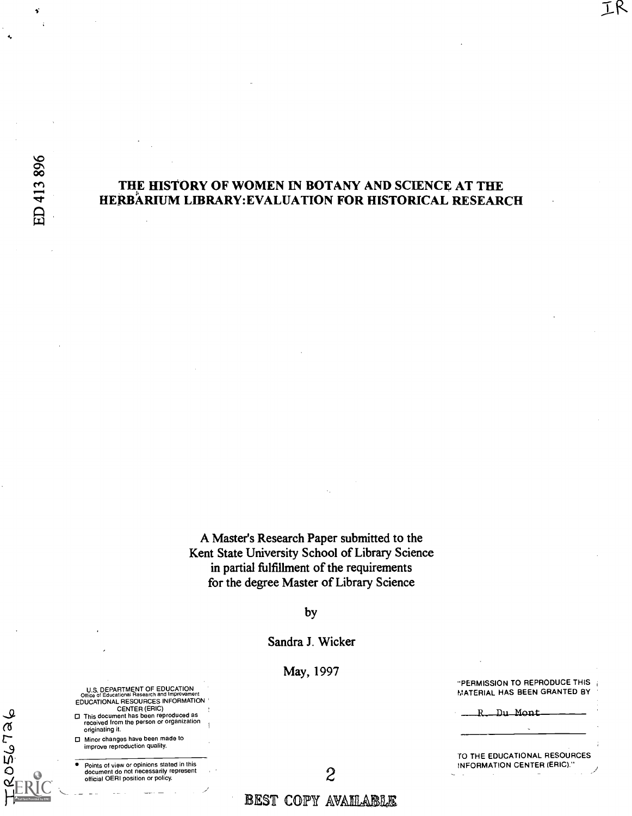ti

## THE HISTORY OF WOMEN IN BOTANY AND SCIENCE AT THE HERBARIUM LIBRARY:EVALUATION FOR HISTORICAL RESEARCH

A Master's Research Paper submitted to the Kent State University School of Library Science in partial fulfillment of the requirements for the degree Master of Library Science

by

Sandra J. Wicker

May, 1997

"PERMISSION TO REPRODUCE THIS MATERIAL HAS BEEN GRANTED BY

IR

Du Mont

TO THE EDUCATIONAL RESOURCES INFORMATION CENTER (ERIC)."

U.S. DEPARTMENT OF EDUCATION<br>Office of Educational Research and Improvement Office of Educational Research and Improvement EDUCATIONAL RESOURCES INFORMATION ' CENTER (ERIC) This document has been reproduced as<br>received from the person or organization

originating it. Minor changes have been made to improve reproduction quality.

 $\bullet$ 

2056726

Points of view or opinions stated in this document do not necessarily represent official OERI position or policy.

BEST COPY AVAILABLE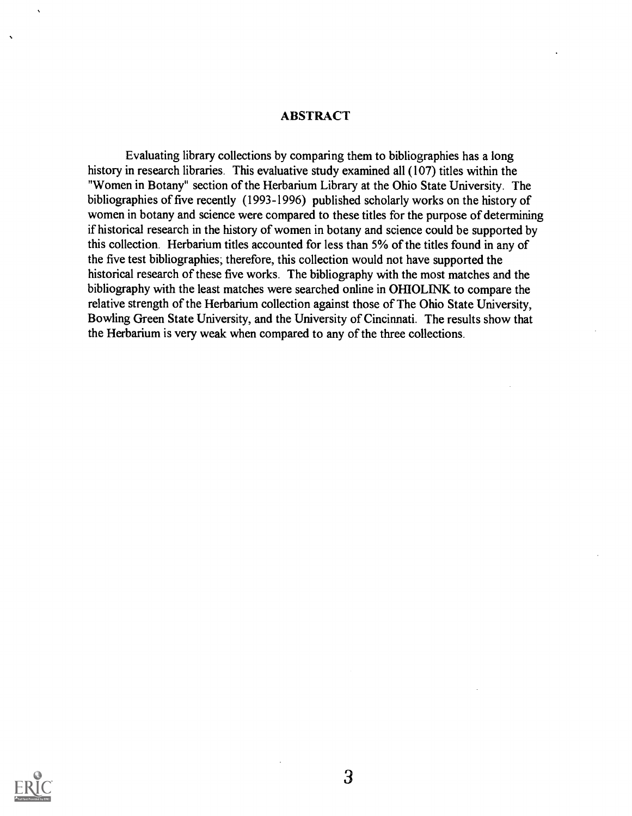## ABSTRACT

Evaluating library collections by comparing them to bibliographies has a long history in research libraries. This evaluative study examined all (107) titles within the "Women in Botany" section of the Herbarium Library at the Ohio State University. The bibliographies of five recently (1993-1996) published scholarly works on the history of women in botany and science were compared to these titles for the purpose of determining if historical research in the history of women in botany and science could be supported by this collection. Herbarium titles accounted for less than 5% of the titles found in any of the five test bibliographies; therefore, this collection would not have supported the historical research of these five works. The bibliography with the most matches and the bibliography with the least matches were searched online in OHIOLINK to compare the relative strength of the Herbarium collection against those of The Ohio State University, Bowling Green State University, and the University of Cincinnati. The results show that the Herbarium is very weak when compared to any of the three collections.

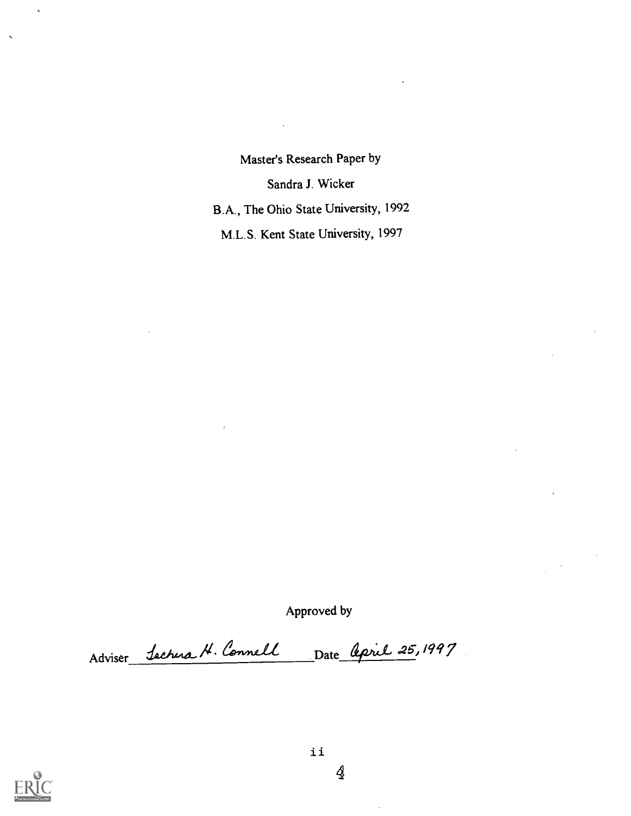Master's Research Paper by Sandra J. Wicker B.A., The Ohio State University, 1992 M.L.S. Kent State University, 1997

Approved by

Adviser Sachera H. Connell Date April 25, 1997

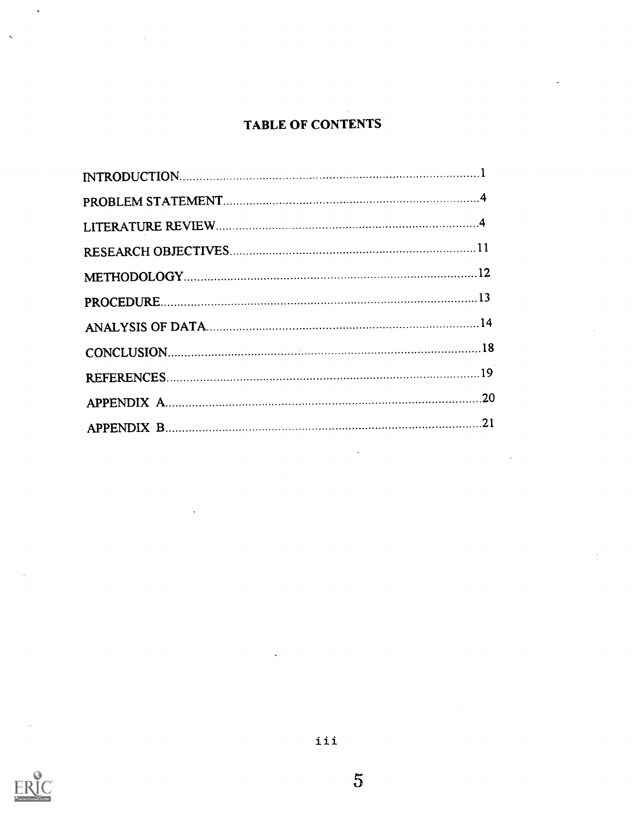# TABLE OF CONTENTS

| -21 |
|-----|

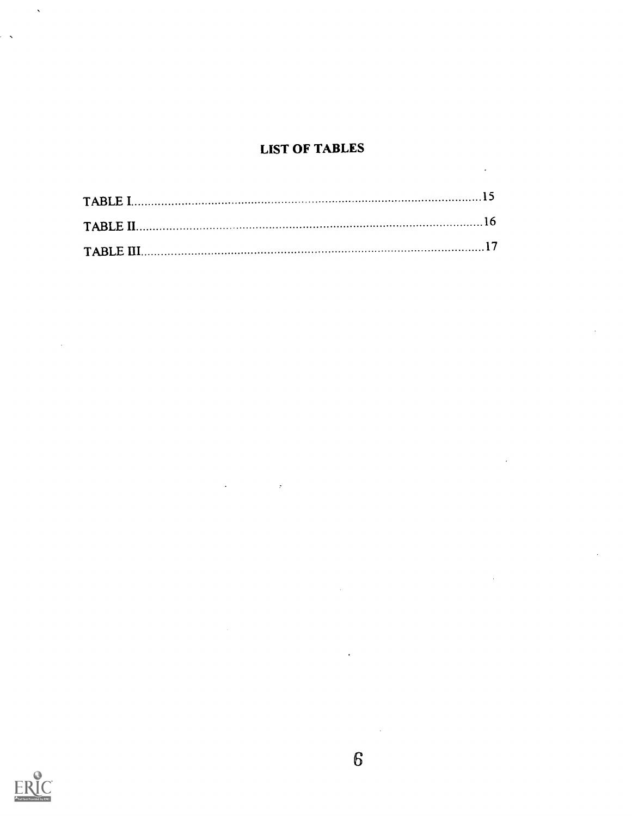## LIST OF TABLES



 $\overline{\phantom{0}}$ 

 $\sim$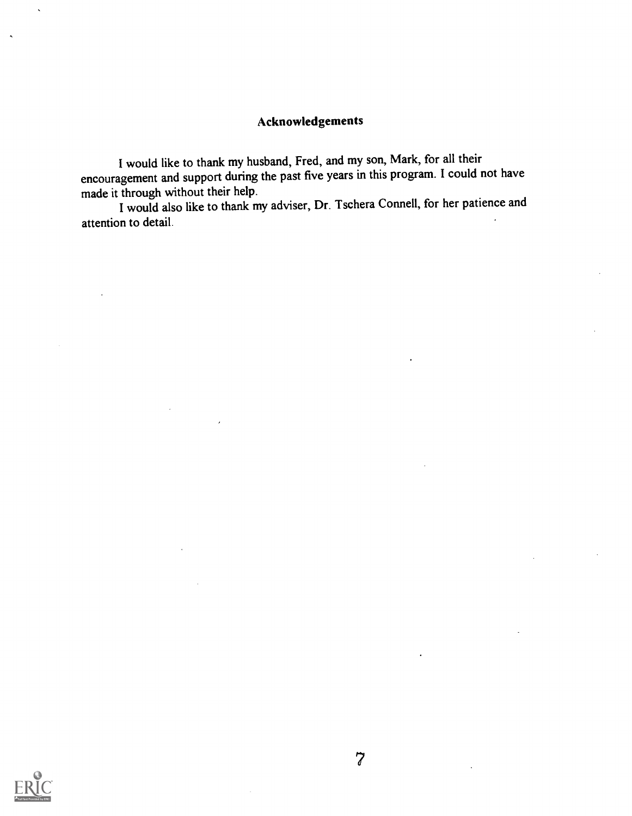## Acknowledgements

I would like to thank my husband, Fred, and my son, Mark, for all their encouragement and support during the past five years in this program. I could not have made it through without their help.

I would also like to thank my adviser, Dr. Tschera Connell, for her patience and attention to detail.

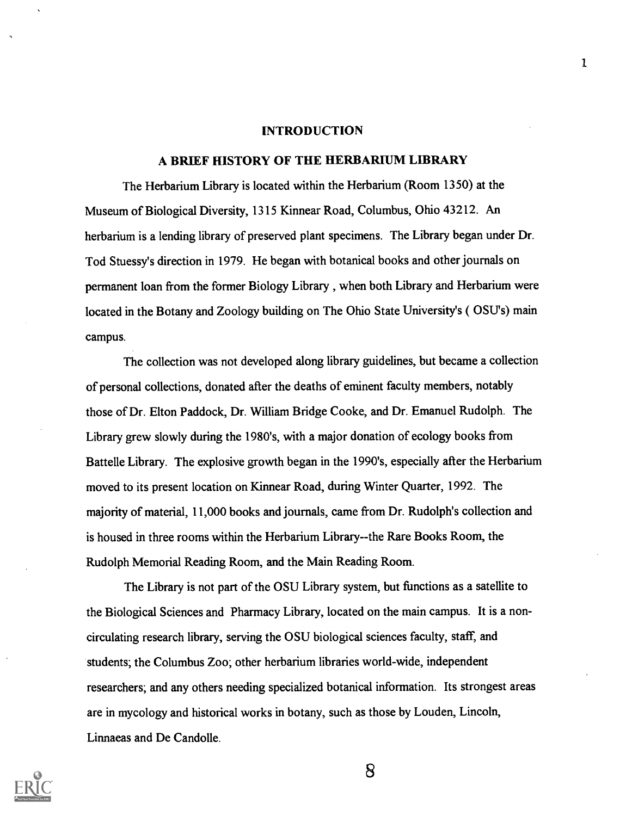#### INTRODUCTION

### A BRIEF HISTORY OF THE HERBARIUM LIBRARY

The Herbarium Library is located within the Herbarium (Room 1350) at the Museum of Biological Diversity, 1315 Kinnear Road, Columbus, Ohio 43212. An herbarium is a lending library of preserved plant specimens. The Library began under Dr. Tod Stuessy's direction in 1979. He began with botanical books and other journals on permanent loan from the former Biology Library , when both Library and Herbarium were located in the Botany and Zoology building on The Ohio State University's ( OSU's) main campus.

The collection was not developed along library guidelines, but became a collection of personal collections, donated after the deaths of eminent faculty members, notably those of Dr. Elton Paddock, Dr. William Bridge Cooke, and Dr. Emanuel Rudolph. The Library grew slowly during the 1980's, with a major donation of ecology books from Battelle Library. The explosive growth began in the 1990's, especially after the Herbarium moved to its present location on Kinnear Road, during Winter Quarter, 1992. The majority of material, 11,000 books and journals, came from Dr. Rudolph's collection and is housed in three rooms within the Herbarium Library--the Rare Books Room, the Rudolph Memorial Reading Room, and the Main Reading Room.

The Library is not part of the OSU Library system, but functions as a satellite to the Biological Sciences and Pharmacy Library, located on the main campus. It is a noncirculating research library, serving the OSU biological sciences faculty, staff, and students; the Columbus Zoo; other herbarium libraries world-wide, independent researchers; and any others needing specialized botanical information. Its strongest areas are in mycology and historical works in botany, such as those by Louden, Lincoln, Linnaeas and De Candolle.

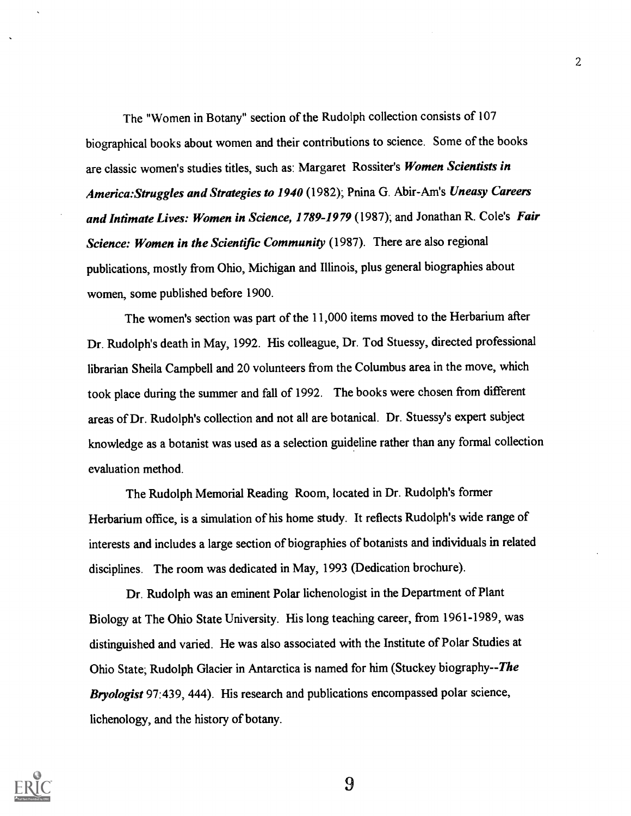The "Women in Botany" section of the Rudolph collection consists of 107 biographical books about women and their contributions to science. Some of the books are classic women's studies titles, such as: Margaret Rossiter's Women Scientists in America: Struggles and Strategies to 1940 (1982); Pnina G. Abir-Am's Uneasy Careers and Intimate Lives: Women in Science, 1789-1979 (1987); and Jonathan R. Cole's Fair Science: Women in the Scientific Community (1987). There are also regional publications, mostly from Ohio, Michigan and Illinois, plus general biographies about women, some published before 1900.

The women's section was part of the 11,000 items moved to the Herbarium after Dr. Rudolph's death in May, 1992. His colleague, Dr. Tod Stuessy, directed professional librarian Sheila Campbell and 20 volunteers from the Columbus area in the move, which took place during the summer and fall of 1992. The books were chosen from different areas of Dr. Rudolph's collection and not all are botanical. Dr. Stuessy's expert subject knowledge as a botanist was used as a selection guideline rather than any formal collection evaluation method.

The Rudolph Memorial Reading Room, located in Dr. Rudolph's former Herbarium office, is a simulation of his home study. It reflects Rudolph's wide range of interests and includes a large section of biographies of botanists and individuals in related disciplines. The room was dedicated in May, 1993 (Dedication brochure).

Dr. Rudolph was an eminent Polar lichenologist in the Department of Plant Biology at The Ohio State University. His long teaching career, from 1961-1989, was distinguished and varied. He was also associated with the Institute of Polar Studies at Ohio State; Rudolph Glacier in Antarctica is named for him (Stuckey biography--The Bryologist 97:439, 444). His research and publications encompassed polar science, lichenology, and the history of botany.



9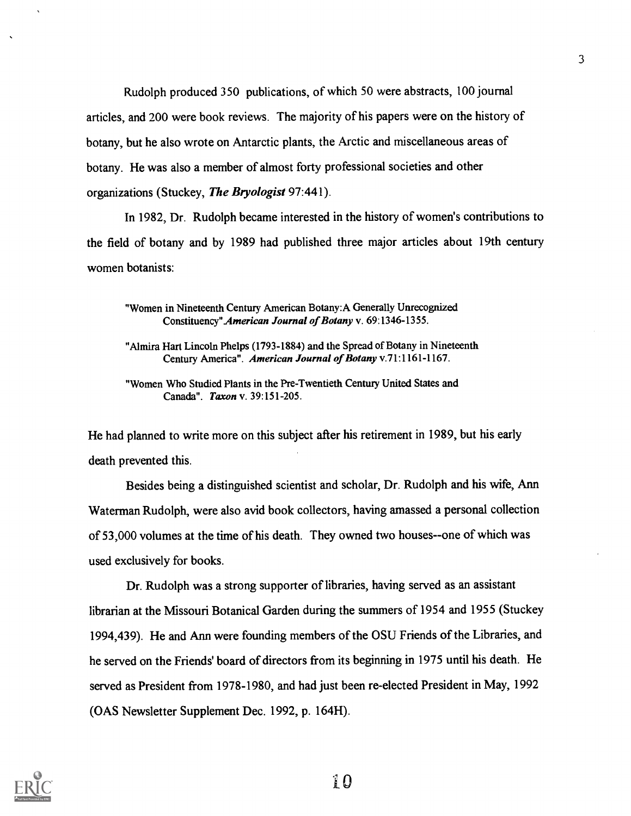Rudolph produced 350 publications, of which 50 were abstracts, 100 journal articles, and 200 were book reviews. The majority of his papers were on the history of botany, but he also wrote on Antarctic plants, the Arctic and miscellaneous areas of botany. He was also a member of almost forty professional societies and other organizations (Stuckey, The Bryologist 97:441).

In 1982, Dr. Rudolph became interested in the history of women's contributions to the field of botany and by 1989 had published three major articles about 19th century women botanists:

"Women in Nineteenth Century American Botany:A Generally Unrecognized Constituency"American Journal of Botany v. 69:1346-1355.

"Almira Hart Lincoln Phelps (1793-1884) and the Spread of Botany in Nineteenth Century America". American Journal of Botany v.71:1161-1167.

"Women Who Studied Plants in the Pre-Twentieth Century United States and Canada". Taxon v. 39:151-205.

He had planned to write more on this subject after his retirement in 1989, but his early death prevented this.

Besides being a distinguished scientist and scholar, Dr. Rudolph and his wife, Ann Waterman Rudolph, were also avid book collectors, having amassed a personal collection of 53,000 volumes at the time of his death. They owned two houses--one of which was used exclusively for books.

Dr. Rudolph was a strong supporter of libraries, having served as an assistant librarian at the Missouri Botanical Garden during the summers of 1954 and 1955 (Stuckey 1994,439). He and Ann were founding members of the OSU Friends of the Libraries, and he served on the Friends' board of directors from its beginning in 1975 until his death. He served as President from 1978-1980, and had just been re-elected President in May, 1992 (OAS Newsletter Supplement Dec. 1992, p. 164H).

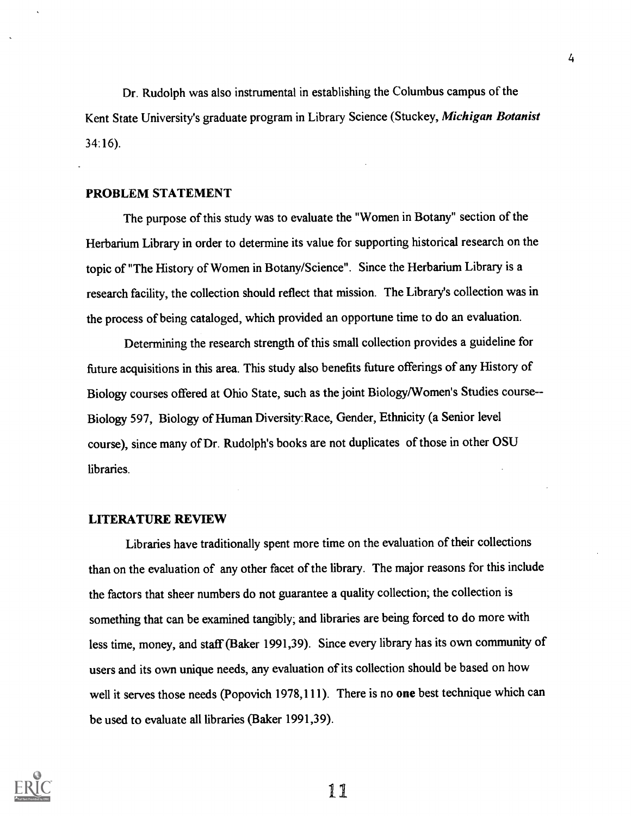Dr. Rudolph was also instrumental in establishing the Columbus campus of the Kent State University's graduate program in Library Science (Stuckey, Michigan Botanist 34:16).

## PROBLEM STATEMENT

The purpose of this study was to evaluate the "Women in Botany" section of the Herbarium Library in order to determine its value for supporting historical research on the topic of "The History of Women in Botany/Science". Since the Herbarium Library is a research facility, the collection should reflect that mission. The Library's collection was in the process of being cataloged, which provided an opportune time to do an evaluation.

Determining the research strength of this small collection provides a guideline for future acquisitions in this area. This study also benefits future offerings of any History of Biology courses offered at Ohio State, such as the joint Biology/Women's Studies course- - Biology 597, Biology of Human Diversity:Race, Gender, Ethnicity (a Senior level course), since many of Dr. Rudolph's books are not duplicates of those in other OSU libraries.

## LITERATURE REVIEW

Libraries have traditionally spent more time on the evaluation of their collections than on the evaluation of any other facet of the library. The major reasons for this include the factors that sheer numbers do not guarantee a quality collection; the collection is something that can be examined tangibly; and libraries are being forced to do more with less time, money, and staff (Baker 1991,39). Since every library has its own community of users and its own unique needs, any evaluation of its collection should be based on how well it serves those needs (Popovich 1978,111). There is no one best technique which can be used to evaluate all libraries (Baker 1991,39).

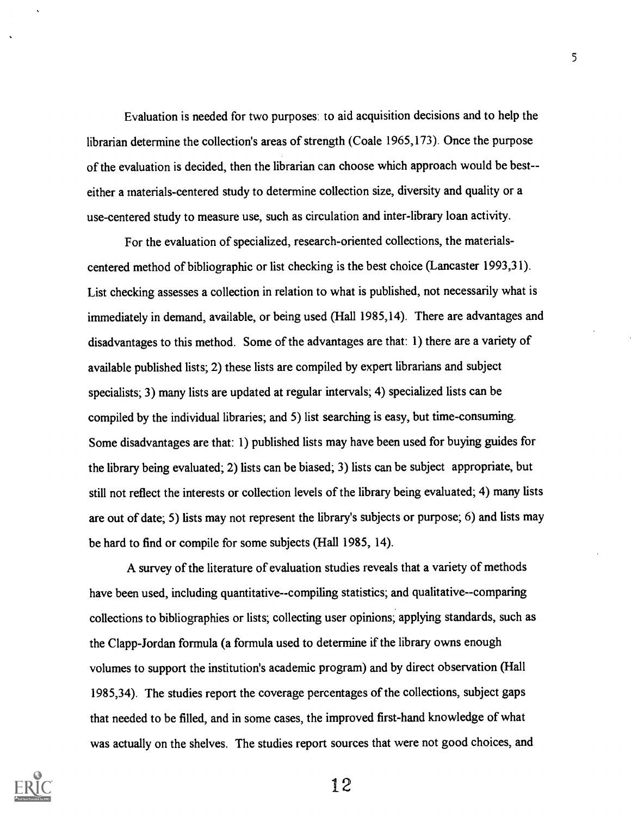Evaluation is needed for two purposes: to aid acquisition decisions and to help the librarian determine the collection's areas of strength (Coale 1965,173). Once the purpose of the evaluation is decided, then the librarian can choose which approach would be best- either a materials-centered study to determine collection size, diversity and quality or a use-centered study to measure use, such as circulation and inter-library loan activity.

For the evaluation of specialized, research-oriented collections, the materialscentered method of bibliographic or list checking is the best choice (Lancaster 1993,31). List checking assesses a collection in relation to what is published, not necessarily what is immediately in demand, available, or being used (Hall 1985,14). There are advantages and disadvantages to this method. Some of the advantages are that: 1) there are a variety of available published lists; 2) these lists are compiled by expert librarians and subject specialists; 3) many lists are updated at regular intervals; 4) specialized lists can be compiled by the individual libraries; and 5) list searching is easy, but time-consuming. Some disadvantages are that: 1) published lists may have been used for buying guides for the library being evaluated; 2) lists can be biased; 3) lists can be subject appropriate, but still not reflect the interests or collection levels of the library being evaluated; 4) many lists are out of date; 5) lists may not represent the library's subjects or purpose; 6) and lists may be hard to find or compile for some subjects (Hall 1985, 14).

A survey of the literature of evaluation studies reveals that a variety of methods have been used, including quantitative--compiling statistics; and qualitative--comparing collections to bibliographies or lists; collecting user opinions; applying standards, such as the Clapp-Jordan formula (a formula used to determine if the library owns enough volumes to support the institution's academic program) and by direct observation (Hall 1985,34). The studies report the coverage percentages of the collections, subject gaps that needed to be filled, and in some cases, the improved first-hand knowledge of what was actually on the shelves. The studies report sources that were not good choices, and

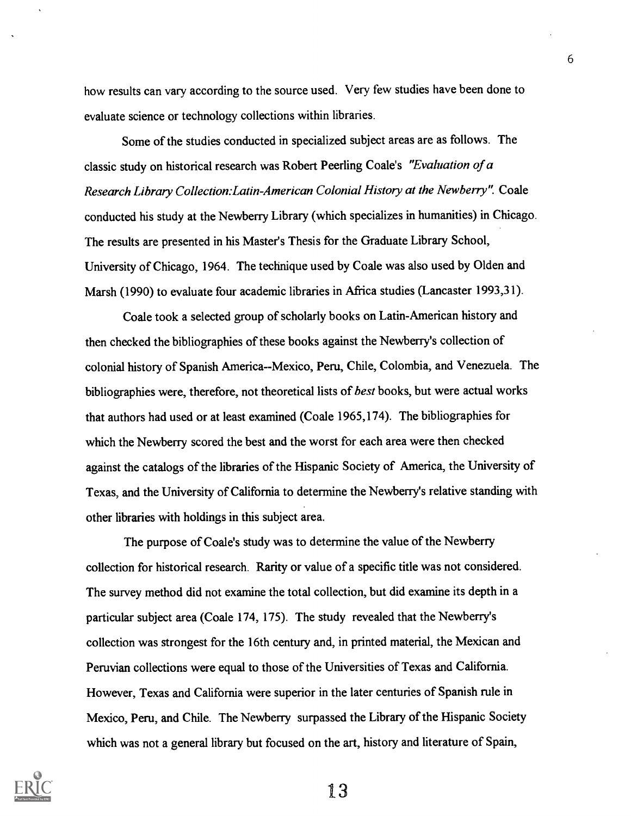how results can vary according to the source used. Very few studies have been done to evaluate science or technology collections within libraries.

Some of the studies conducted in specialized subject areas are as follows. The classic study on historical research was Robert Peerling Coale's "Evaluation of a Research Library Collection:Latin-American Colonial History at the Newberry". Coale conducted his study at the Newberry Library (which specializes in humanities) in Chicago. The results are presented in his Master's Thesis for the Graduate Library School, University of Chicago, 1964. The technique used by Coale was also used by Olden and Marsh (1990) to evaluate four academic libraries in Africa studies (Lancaster 1993,31).

Coale took a selected group of scholarly books on Latin-American history and then checked the bibliographies of these books against the Newberry's collection of colonial history of Spanish America--Mexico, Peru, Chile, Colombia, and Venezuela. The bibliographies were, therefore, not theoretical lists of best books, but were actual works that authors had used or at least examined (Coale 1965,174). The bibliographies for which the Newberry scored the best and the worst for each area were then checked against the catalogs of the libraries of the Hispanic Society of America, the University of Texas, and the University of California to determine the Newberry's relative standing with other libraries with holdings in this subject area.

The purpose of Coale's study was to determine the value of the Newberry collection for historical research. Rarity or value of a specific title was not considered. The survey method did not examine the total collection, but did examine its depth in a particular subject area (Coale 174, 175). The study revealed that the Newberry's collection was strongest for the 16th century and, in printed material, the Mexican and Peruvian collections were equal to those of the Universities of Texas and California. However, Texas and California were superior in the later centuries of Spanish rule in Mexico, Peru, and Chile. The Newberry surpassed the Library of the Hispanic Society which was not a general library but focused on the art, history and literature of Spain,



13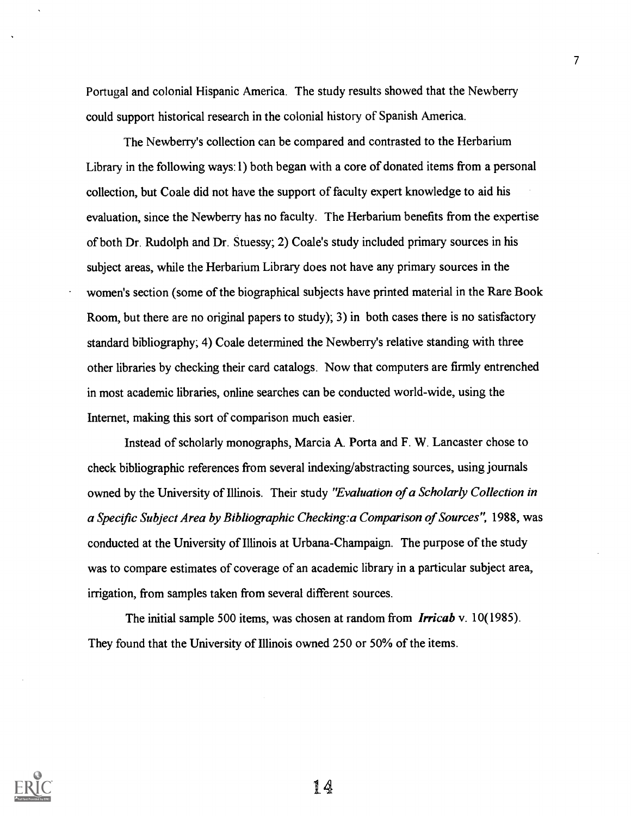Portugal and colonial Hispanic America. The study results showed that the Newberry could support historical research in the colonial history of Spanish America.

The Newberry's collection can be compared and contrasted to the Herbarium Library in the following ways:1) both began with a core of donated items from a personal collection, but Coale did not have the support of faculty expert knowledge to aid his evaluation, since the Newberry has no faculty. The Herbarium benefits from the expertise of both Dr. Rudolph and Dr. Stuessy; 2) Coale's study included primary sources in his subject areas, while the Herbarium Library does not have any primary sources in the women's section (some of the biographical subjects have printed material in the Rare Book Room, but there are no original papers to study); 3) in both cases there is no satisfactory standard bibliography; 4) Coale determined the Newberry's relative standing with three other libraries by checking their card catalogs. Now that computers are firmly entrenched in most academic libraries, online searches can be conducted world-wide, using the Internet, making this sort of comparison much easier.

Instead of scholarly monographs, Marcia A. Porta and F. W. Lancaster chose to check bibliographic references from several indexing/abstracting sources, using journals owned by the University of Illinois. Their study "Evaluation of a Scholarly Collection in a Specific Subject Area by Bibliographic Checking:a Comparison of Sources", 1988, was conducted at the University of Illinois at Urbana-Champaign. The purpose of the study was to compare estimates of coverage of an academic library in a particular subject area, irrigation, from samples taken from several different sources.

The initial sample 500 items, was chosen at random from *Irricab* v. 10(1985). They found that the University of Illinois owned 250 or 50% of the items.



1 A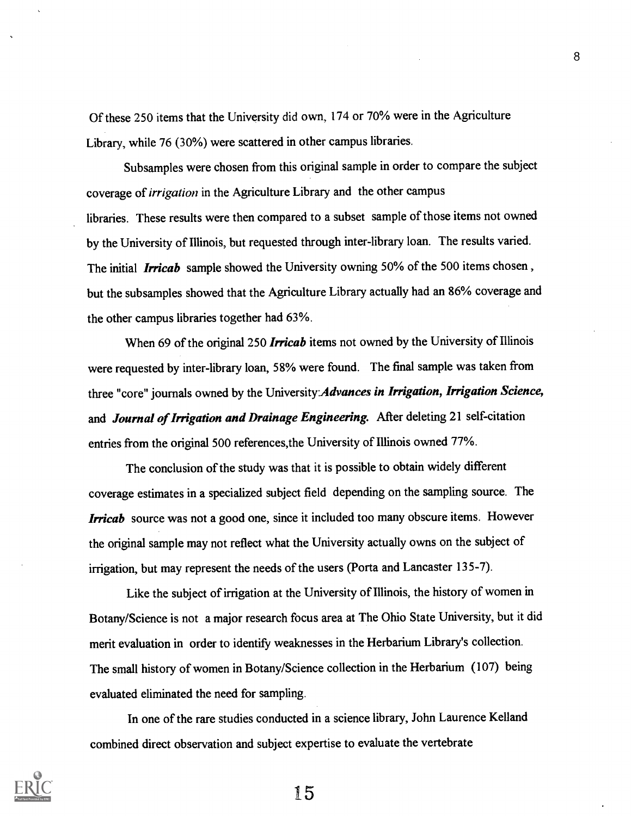Of these 250 items that the University did own, 174 or 70% were in the Agriculture Library, while 76 (30%) were scattered in other campus libraries.

Subsamples were chosen from this original sample in order to compare the subject coverage of irrigation in the Agriculture Library and the other campus libraries. These results were then compared to a subset sample of those items not owned by the University of Illinois, but requested through inter-library loan. The results varied. The initial **Irricab** sample showed the University owning 50% of the 500 items chosen, but the subsamples showed that the Agriculture Library actually had an 86% coverage and the other campus libraries together had 63%.

When 69 of the original 250 Irricab items not owned by the University of Illinois were requested by inter-library loan, 58% were found. The final sample was taken from three "core" journals owned by the University: Advances in Irrigation, Irrigation Science, and Journal of Irrigation and Drainage Engineering. After deleting 21 self-citation entries from the original 500 references,the University of Illinois owned 77%.

The conclusion of the study was that it is possible to obtain widely different coverage estimates in a specialized subject field depending on the sampling source. The **Irricab** source was not a good one, since it included too many obscure items. However the original sample may not reflect what the University actually owns on the subject of irrigation, but may represent the needs of the users (Porta and Lancaster 135-7).

Like the subject of irrigation at the University of Illinois, the history of women in Botany/Science is not a major research focus area at The Ohio State University, but it did merit evaluation in order to identify weaknesses in the Herbarium Library's collection. The small history of women in Botany/Science collection in the Herbarium (107) being evaluated eliminated the need for sampling.

In one of the rare studies conducted in a science library, John Laurence Kelland combined direct observation and subject expertise to evaluate the vertebrate



15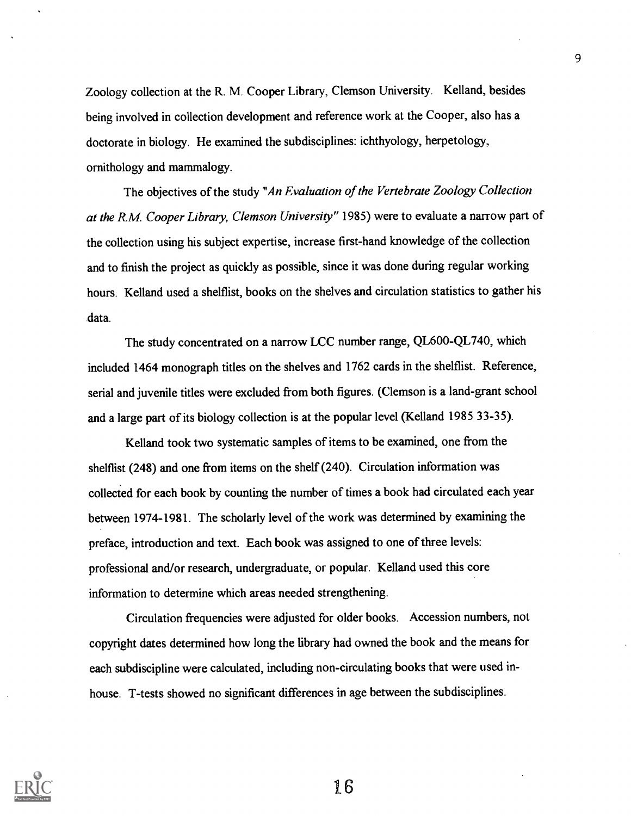Zoology collection at the R. M. Cooper Library, Clemson University. Kelland, besides being involved in collection development and reference work at the Cooper, also has a doctorate in biology. He examined the subdisciplines: ichthyology, herpetology, ornithology and mammalogy.

The objectives of the study "An Evaluation of the Vertebrate Zoology Collection at the R.M. Cooper Library, Clemson University" 1985) were to evaluate a narrow part of the collection using his subject expertise, increase first-hand knowledge of the collection and to finish the project as quickly as possible, since it was done during regular working hours. Kelland used a shelflist, books on the shelves and circulation statistics to gather his data.

The study concentrated on a narrow LCC number range, QL600-QL740, which included 1464 monograph titles on the shelves and 1762 cards in the shelflist. Reference, serial and juvenile titles were excluded from both figures. (Clemson is a land-grant school and a large part of its biology collection is at the popular level (Kelland 1985 33-35).

Kelland took two systematic samples of items to be examined, one from the shelflist (248) and one from items on the shelf (240). Circulation information was collected for each book by counting the number of times a book had circulated each year between 1974-1981. The scholarly level of the work was determined by examining the preface, introduction and text. Each book was assigned to one of three levels: professional and/or research, undergraduate, or popular. Kelland used this core information to determine which areas needed strengthening.

Circulation frequencies were adjusted for older books. Accession numbers, not copyright dates determined how long the library had owned the book and the means for each subdiscipline were calculated, including non-circulating books that were used inhouse. T-tests showed no significant differences in age between the subdisciplines.



16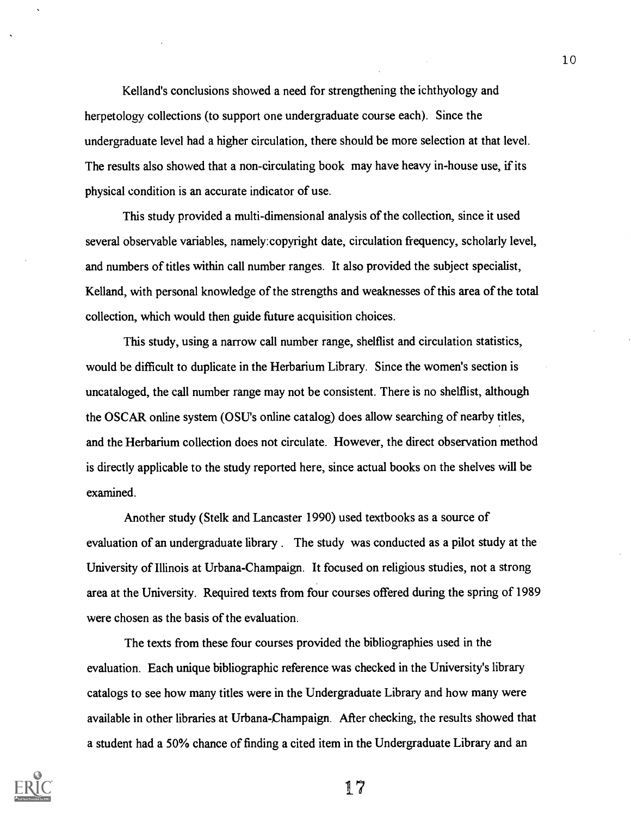Kelland's conclusions showed a need for strengthening the ichthyology and herpetology collections (to support one undergraduate course each). Since the undergraduate level had a higher circulation, there should be more selection at that level. The results also showed that a non-circulating book may have heavy in-house use, if its physical condition is an accurate indicator of use.

This study provided a multi-dimensional analysis of the collection, since it used several observable variables, namely:copyright date, circulation frequency, scholarly level, and numbers of titles within call number ranges. It also provided the subject specialist, Kelland, with personal knowledge of the strengths and weaknesses of this area of the total collection, which would then guide future acquisition choices.

This study, using a narrow call number range, shelflist and circulation statistics, would be difficult to duplicate in the Herbarium Library. Since the women's section is uncataloged, the call number range may not be consistent. There is no shelflist, although the OSCAR online system (OSU's online catalog) does allow searching of nearby titles, and the Herbarium collection does not circulate. However, the direct observation method is directly applicable to the study reported here, since actual books on the shelves will be examined.

Another study (Stelk and Lancaster 1990) used textbooks as a source of evaluation of an undergraduate library . The study was conducted as a pilot study at the University of Illinois at Urbana-Champaign. It focused on religious studies, not a strong area at the University. Required texts from four courses offered during the spring of 1989 were chosen as the basis of the evaluation.

The texts from these four courses provided the bibliographies used in the evaluation. Each unique bibliographic reference was checked in the University's library catalogs to see how many titles were in the Undergraduate Library and how many were available in other libraries at Urbana-Champaign. After checking, the results showed that a student had a 50% chance of finding a cited item in the Undergraduate Library and an



17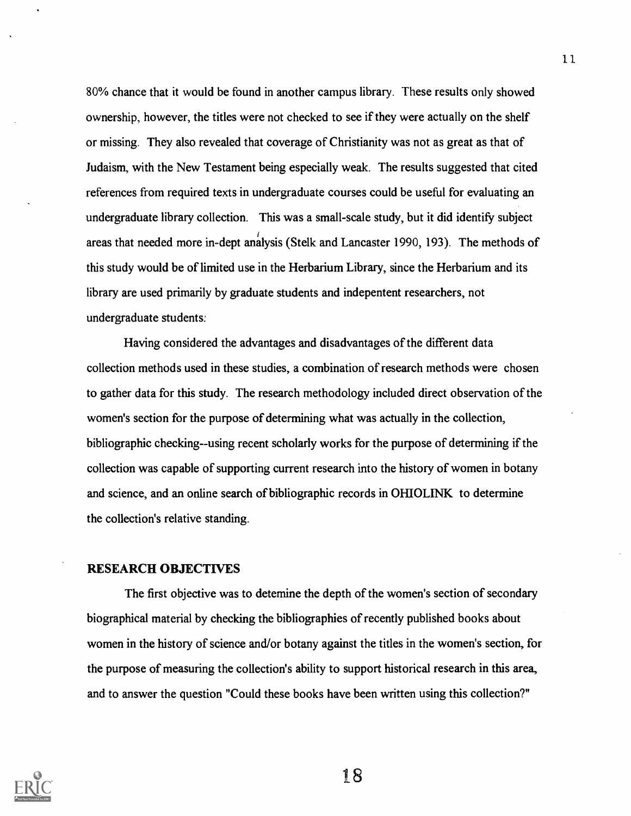80% chance that it would be found in another campus library. These results only showed ownership, however, the titles were not checked to see if they were actually on the shelf or missing. They also revealed that coverage of Christianity was not as great as that of Judaism, with the New Testament being especially weak. The results suggested that cited references from required texts in undergraduate courses could be useful for evaluating an undergraduate library collection. This was a small-scale study, but it did identify subject areas that needed more in-dept analysis (Stelk and Lancaster 1990, 193). The methods of this study would be of limited use in the Herbarium Library, since the Herbarium and its library are used primarily by graduate students and indepentent researchers, not undergraduate students:

Having considered the advantages and disadvantages of the different data collection methods used in these studies, a combination of research methods were chosen to gather data for this study. The research methodology included direct observation of the women's section for the purpose of determining what was actually in the collection, bibliographic checking--using recent scholarly works for the purpose of determining if the collection was capable of supporting current research into the history of women in botany and science, and an online search of bibliographic records in OHIOLINK to determine the collection's relative standing.

## RESEARCH OBJECTIVES

The first objective was to detemine the depth of the women's section of secondary biographical material by checking the bibliographies of recently published books about women in the history of science and/or botany against the titles in the women's section, for the purpose of measuring the collection's ability to support historical research in this area, and to answer the question "Could these books have been written using this collection?"



18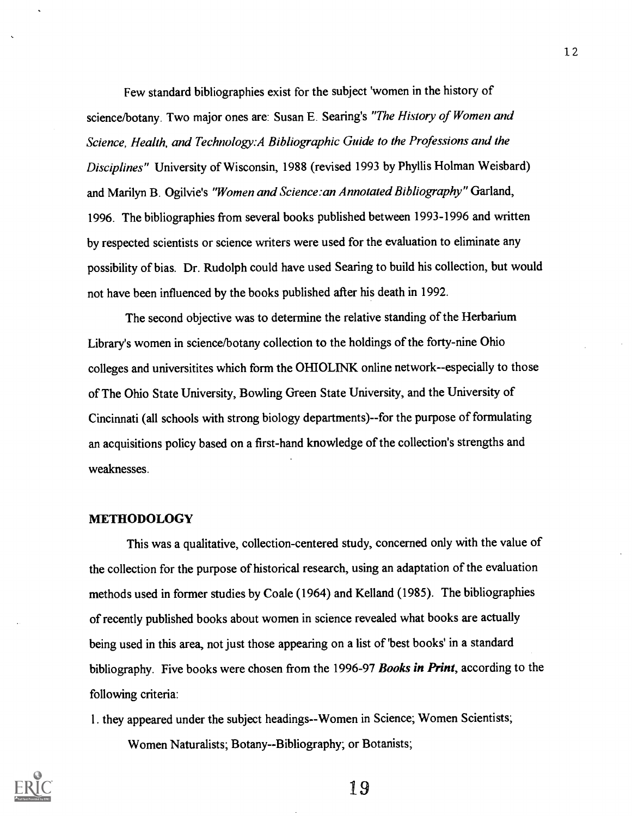Few standard bibliographies exist for the subject 'women in the history of science/botany. Two major ones are: Susan E. Searing's "The History of Women and Science, Health, and Technology:A Bibliographic Guide to the Professions and the Disciplines" University of Wisconsin, 1988 (revised 1993 by Phyllis Holman Weisbard) and Marilyn B. Ogilvie's "Women and Science: an Annotated Bibliography" Garland, 1996. The bibliographies from several books published between 1993-1996 and written by respected scientists or science writers were used for the evaluation to eliminate any possibility of bias. Dr. Rudolph could have used Searing to build his collection, but would not have been influenced by the books published after his death in 1992.

The second objective was to determine the relative standing of the Herbarium Library's women in science/botany collection to the holdings of the forty-nine Ohio colleges and universitites which form the OHIOLINK online network--especially to those of The Ohio State University, Bowling Green State University, and the University of Cincinnati (all schools with strong biology departments)--for the purpose of formulating an acquisitions policy based on a first-hand knowledge of the collection's strengths and weaknesses.

## METHODOLOGY

This was a qualitative, collection-centered study, concerned only with the value of the collection for the purpose of historical research, using an adaptation of the evaluation methods used in former studies by Coale (1964) and Kelland (1985). The bibliographies of recently published books about women in science revealed what books are actually being used in this area, not just those appearing on a list of 'best books' in a standard bibliography. Five books were chosen from the 1996-97 Books in Print, according to the following criteria:

1. they appeared under the subject headings--Women in Science; Women Scientists;

Women Naturalists; Botany--Bibliography; or Botanists;

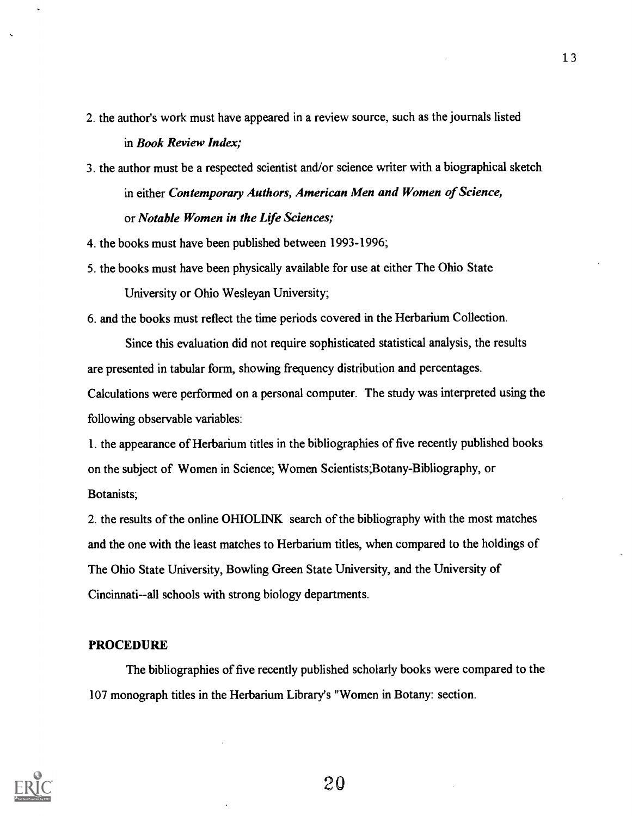- 2. the author's work must have appeared in a review source, such as the journals listed in Book Review Index;
- 3. the author must be a respected scientist and/or science writer with a biographical sketch in either Contemporary Authors, American Men and Women of Science, or Notable Women in the Life Sciences;
- 4. the books must have been published between 1993-1996;
- 5. the books must have been physically available for use at either The Ohio State University or Ohio Wesleyan University;

6. and the books must reflect the time periods covered in the Herbarium Collection.

Since this evaluation did not require sophisticated statistical analysis, the results are presented in tabular form, showing frequency distribution and percentages. Calculations were performed on a personal computer. The study was interpreted using the following observable variables:

1. the appearance of Herbarium titles in the bibliographies of five recently published books on the subject of Women in Science; Women Scientists;Botany-Bibliography, or Botanists;

2. the results of the online OHIOLINK search of the bibliography with the most matches and the one with the least matches to Herbarium titles, when compared to the holdings of The Ohio State University, Bowling Green State University, and the University of Cincinnati--all schools with strong biology departments.

## PROCEDURE

The bibliographies of five recently published scholarly books were compared to the 107 monograph titles in the Herbarium Library's "Women in Botany: section.



20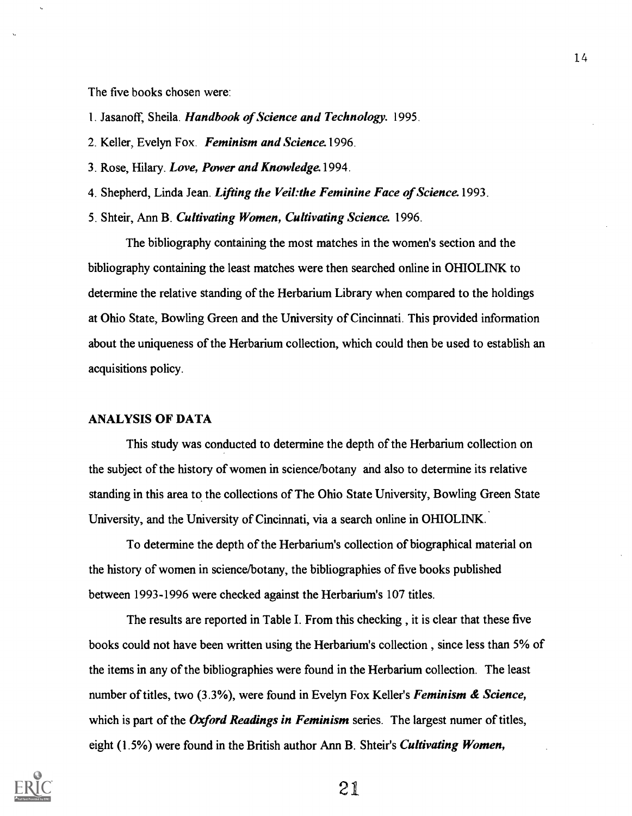The five books chosen were:

- 1. Jasanoff, Sheila. Handbook of Science and Technology. 1995.
- 2. Keller, Evelyn Fox. Feminism and Science. 1996.
- 3. Rose, Hilary. Love, Power and Knowledge. 1994.
- 4. Shepherd, Linda Jean. Lifting the Veil: the Feminine Face of Science. 1993.
- 5. Shteir, Ann B. Cultivating Women, Cultivating Science. 1996.

The bibliography containing the most matches in the women's section and the bibliography containing the least matches were then searched online in OHIOLINK to determine the relative standing of the Herbarium Library when compared to the holdings at Ohio State, Bowling Green and the University of Cincinnati. This provided information about the uniqueness of the Herbarium collection, which could then be used to establish an acquisitions policy.

## ANALYSIS OF DATA

This study was conducted to determine the depth of the Herbarium collection on the subject of the history of women in science/botany and also to determine its relative standing in this area to the collections of The Ohio State University, Bowling Green State University, and the University of Cincinnati, via a search online in OHIOLINK.

To determine the depth of the Herbarium's collection of biographical material on the history of women in science/botany, the bibliographies of five books published between 1993-1996 were checked against the Herbarium's 107 titles.

The results are reported in Table I. From this checking, it is clear that these five books could not have been written using the Herbarium's collection , since less than 5% of the items in any of the bibliographies were found in the Herbarium collection. The least number of titles, two (3.3%), were found in Evelyn Fox Keller's Feminism & Science, which is part of the Oxford Readings in Feminism series. The largest numer of titles, eight (1.5%) were found in the British author Ann B. Shteir's Cultivating Women,

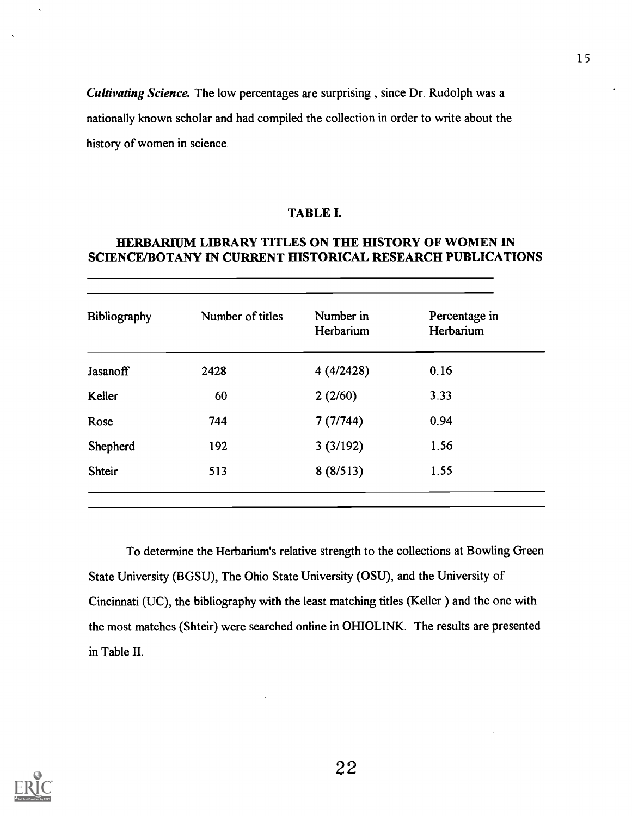Cultivating Science. The low percentages are surprising , since Dr. Rudolph was a nationally known scholar and had compiled the collection in order to write about the history of women in science.

## TABLE I.

## HERBARIUM LIBRARY TITLES ON THE HISTORY OF WOMEN IN SCIENCE/BOTANY IN CURRENT HISTORICAL RESEARCH PUBLICATIONS

| Bibliography    | Number of titles | Number in<br>Herbarium | Percentage in<br>Herbarium |
|-----------------|------------------|------------------------|----------------------------|
| <b>Jasanoff</b> | 2428             | 4(4/2428)              | 0.16                       |
| Keller          | 60               | 2(2/60)                | 3.33                       |
| Rose            | 744              | 7(7/744)               | 0.94                       |
| Shepherd        | 192              | 3(3/192)               | 1.56                       |
| <b>Shteir</b>   | 513              | 8(8/513)               | 1.55                       |

To determine the Herbarium's relative strength to the collections at Bowling Green State University (BGSU), The Ohio State University (OSU), and the University of Cincinnati (UC), the bibliography with the least matching titles (Keller) and the one with the most matches (Shteir) were searched online in OHIOLINK. The results are presented in Table H.

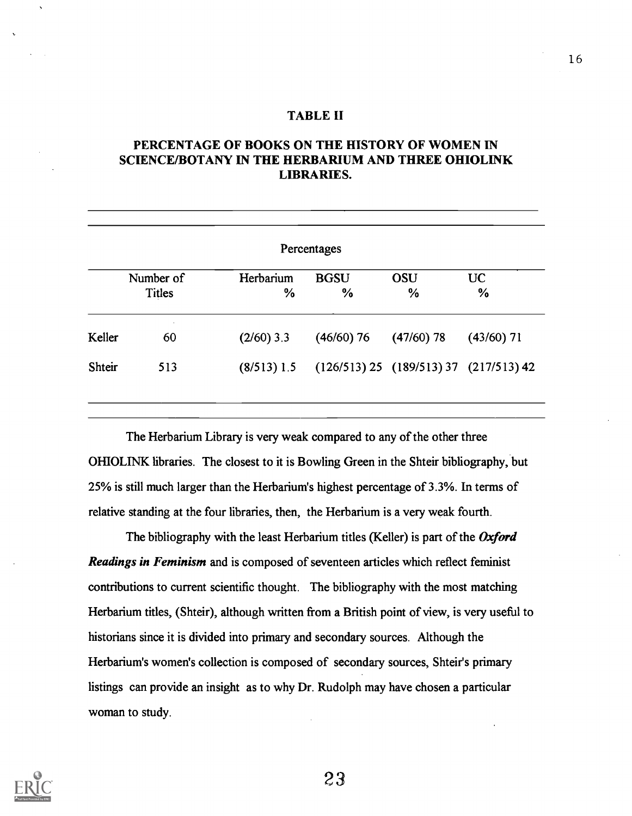## TABLE II

## PERCENTAGE OF BOOKS ON THE HISTORY OF WOMEN IN SCIENCE/BOTANY IN THE HERBARIUM AND THREE OHIOLINK LIBRARIES.

| Percentages   |                            |                   |                                          |                    |                   |
|---------------|----------------------------|-------------------|------------------------------------------|--------------------|-------------------|
|               | Number of<br><b>Titles</b> | Herbarium<br>$\%$ | <b>BGSU</b><br>$\frac{0}{0}$             | <b>OSU</b><br>$\%$ | <b>UC</b><br>$\%$ |
| Keller        | $\sim$<br>60               | $(2/60)$ 3.3      | $(46/60)$ 76                             | $(47/60)$ 78       | $(43/60)$ 71      |
| <b>Shteir</b> | 513                        | $(8/513)$ 1.5     | $(126/513) 25 (189/513) 37 (217/513) 42$ |                    |                   |

The Herbarium Library is very weak compared to any of the other three OHIOLINK libraries. The closest to it is Bowling Green in the Shteir bibliography, but 25% is still much larger than the Herbarium's highest percentage of 3.3%. In terms of relative standing at the four libraries, then, the Herbarium is a very weak fourth.

The bibliography with the least Herbarium titles (Keller) is part of the Oxford Readings in Feminism and is composed of seventeen articles which reflect feminist contributions to current scientific thought. The bibliography with the most matching Herbarium titles, (Shteir), although written from a British point of view, is very useful to historians since it is divided into primary and secondary sources. Although the Herbarium's women's collection is composed of secondary sources, Shteir's primary listings can provide an insight as to why Dr. Rudolph may have chosen a particular woman to study.



23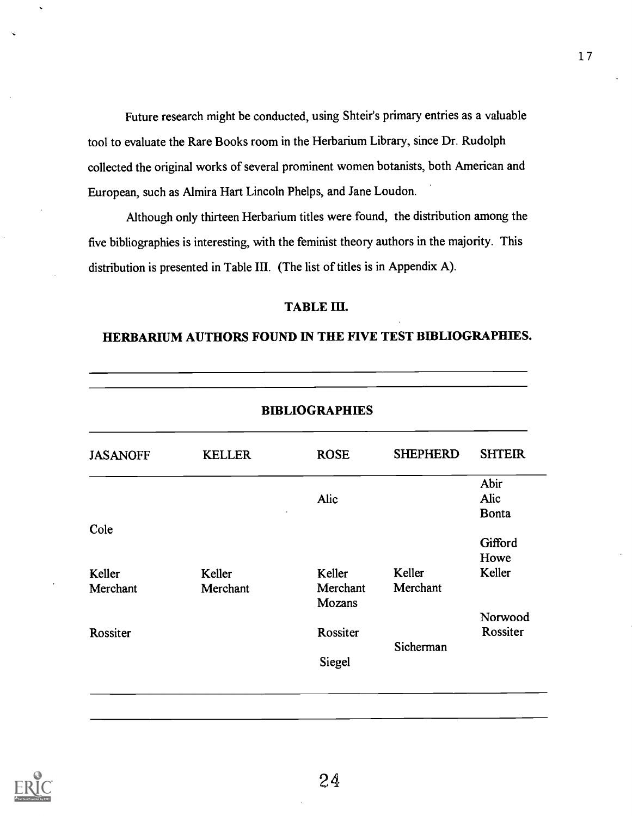Future research might be conducted, using Shteir's primary entries as a valuable tool to evaluate the Rare Books room in the Herbarium Library, since Dr. Rudolph collected the original works of several prominent women botanists, both American and European, such as Almira Hart Lincoln Phelps, and Jane Loudon.

Although only thirteen Herbarium titles were found, the distribution among the five bibliographies is interesting, with the feminist theory authors in the majority. This distribution is presented in Table III. (The list of titles is in Appendix A).

## TABLE III.

## HERBARIUM AUTHORS FOUND IN THE FIVE TEST BIBLIOGRAPHIES.

| <b>BIBLIOGRAPHIES</b> |               |             |                 |               |
|-----------------------|---------------|-------------|-----------------|---------------|
| <b>JASANOFF</b>       | <b>KELLER</b> | <b>ROSE</b> | <b>SHEPHERD</b> | <b>SHTEIR</b> |
|                       |               |             |                 | Abir          |
|                       |               | Alic        |                 | Alic          |
|                       |               |             |                 | <b>Bonta</b>  |
| Cole                  |               |             |                 |               |
|                       |               |             |                 | Gifford       |
|                       |               |             |                 | Howe          |
| Keller                | Keller        | Keller      | Keller          | Keller        |
| Merchant              | Merchant      | Merchant    | Merchant        |               |
|                       |               | Mozans      |                 |               |
|                       |               |             |                 | Norwood       |
| Rossiter              |               | Rossiter    |                 | Rossiter      |
|                       |               |             | Sicherman       |               |
|                       |               | Siegel      |                 |               |

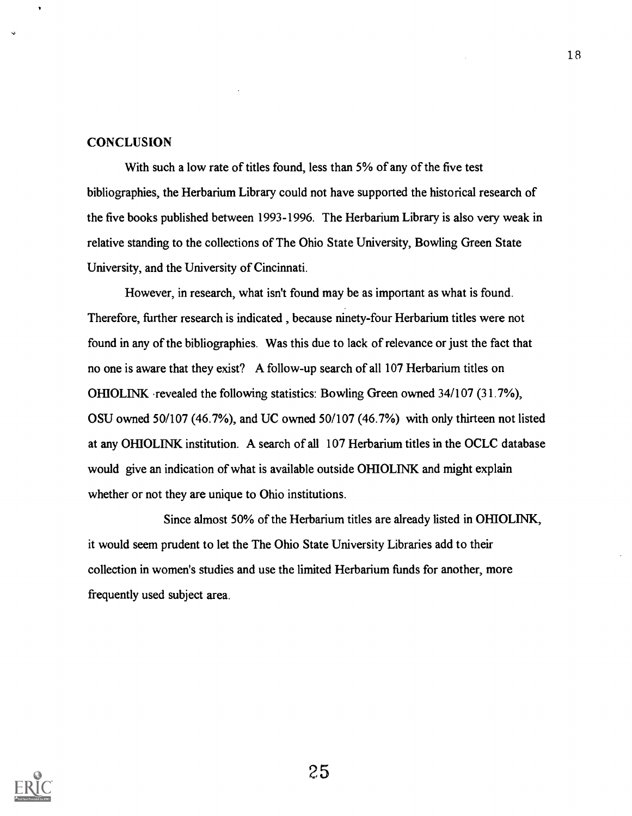### **CONCLUSION**

With such a low rate of titles found, less than 5% of any of the five test bibliographies, the Herbarium Library could not have supported the historical research of the five books published between 1993-1996. The Herbarium Library is also very weak in relative standing to the collections of The Ohio State University, Bowling Green State University, and the University of Cincinnati.

However, in research, what isn't found may be as important as what is found. Therefore, further research is indicated , because ninety-four Herbarium titles were not found in any of the bibliographies. Was this due to lack of relevance or just the fact that no one is aware that they exist? A follow-up search of all 107 Herbarium titles on OHIOLINK revealed the following statistics: Bowling Green owned 34/107 (31.7%), OSU owned 50/107 (46.7%), and UC owned 50/107 (46.7%) with only thirteen not listed at any OHIOLINK institution. A search of all 107 Herbarium titles in the OCLC database would give an indication of what is available outside OHIOLINK and might explain whether or not they are unique to Ohio institutions.

Since almost 50% of the Herbarium titles are already listed in OHIOLINK, it would seem prudent to let the The Ohio State University Libraries add to their collection in women's studies and use the limited Herbarium funds for another, more frequently used subject area.

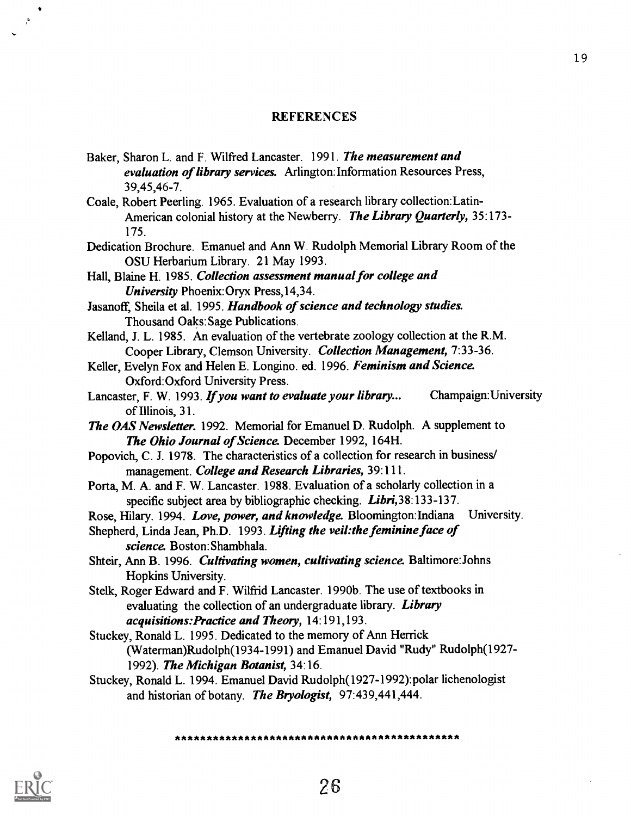### **REFERENCES**

- Baker, Sharon L. and F. Wilfred Lancaster. 1991. The measurement and evaluation of library services. Arlington: Information Resources Press, 39,45,46-7.
- Coale, Robert Peerling. 1965. Evaluation of a research library collection:Latin-American colonial history at the Newberry. The Library Quarterly, 35:173-175.
- Dedication Brochure. Emanuel and Ann W. Rudolph Memorial Library Room of the OSU Herbarium Library. 21 May 1993.

Hall, Blaine H. 1985. Collection assessment manual for college and University Phoenix:Oryx Press,14,34.

- Jasanoff, Sheila et al. 1995. Handbook of science and technology studies. Thousand Oaks: Sage Publications.
- Kelland, J. L. 1985. An evaluation of the vertebrate zoology collection at the R.M. Cooper Library, Clemson University. Collection Management, 7:33-36.
- Keller, Evelyn Fox and Helen E. Longino. ed. 1996. Feminism and Science. Oxford:Oxford University Press.
- Lancaster, F. W. 1993. If you want to evaluate your library... Champaign: University of Illinois, 31.
- **The OAS Newsletter.** 1992. Memorial for Emanuel D. Rudolph. A supplement to The Ohio Journal of Science. December 1992, 164H.
- Popovich, C. J. 1978. The characteristics of a collection for research in business/ management. College and Research Libraries, 39:111.
- Porta, M. A. and F. W. Lancaster. 1988. Evaluation of a scholarly collection in a specific subject area by bibliographic checking. Libri, 38:133-137.
- Rose, Hilary. 1994. Love, power, and knowledge. Bloomington: Indiana University.
- Shepherd, Linda Jean, Ph.D. 1993. Lifting the veil: the feminine face of science. Boston: Shambhala.
- Shteir, Ann B. 1996. Cultivating women, cultivating science. Baltimore: Johns Hopkins University.
- Stelk, Roger Edward and F. Wilfrid Lancaster. 1990b. The use of textbooks in evaluating the collection of an undergraduate library. Library acquisitions:Practice and Theory, 14:191,193.
- Stuckey, Ronald L. 1995. Dedicated to the memory of Ann Herrick (Waterman)Rudolph(1934-1991) and Emanuel David "Rudy" Rudolph(1927- 1992). The Michigan Botanist, 34:16.
- Stuckey, Ronald L. 1994. Emanuel David Rudolph(1927-1992):polar lichenologist and historian of botany. The Bryologist, 97:439,441,444.



\*\*\*\*\*\*\*\*\*\*\*\*\*\*\*\*\*\*\*\*\*\*\*\*\*\*\*\*\*\*\*\*\*\*\*\*\*\*\*\*\*\*\*\*\*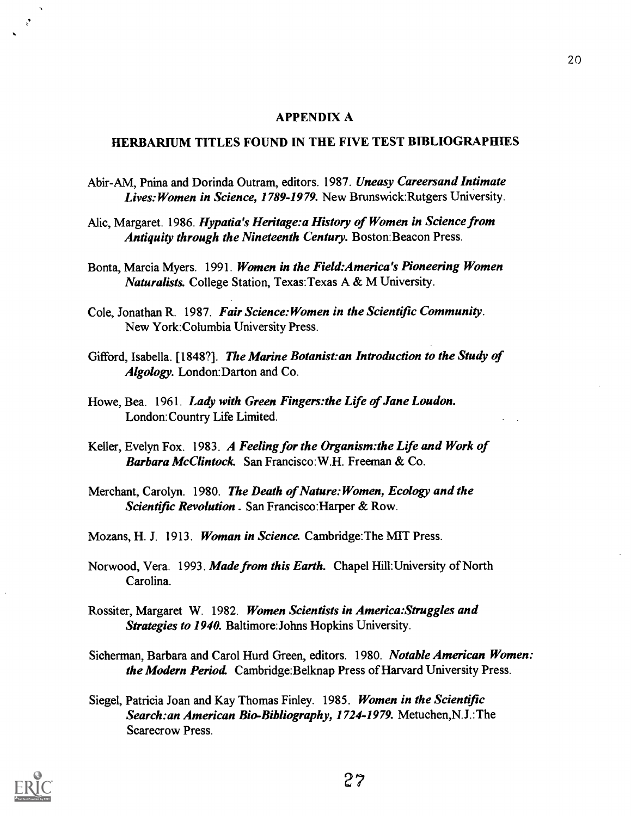#### APPENDIX A

## HERBARIUM TITLES FOUND IN THE FIVE TEST BIBLIOGRAPHIES

- Abir-AM, Pnina and Dorinda Outram, editors. 1987. Uneasy Careersand Intimate Lives: Women in Science, 1789-1979. New Brunswick: Rutgers University.
- Alic, Margaret. 1986. Hypatia's Heritage:a History of Women in Science from Antiquity through the Nineteenth Century. Boston: Beacon Press.
- Bonta, Marcia Myers. 1991. Women in the Field:America's Pioneering Women Naturalists. College Station, Texas:Texas A & M University.
- Cole, Jonathan R. 1987. Fair Science: Women in the Scientific Community. New York:Columbia University Press.
- Gifford, Isabella. [1848?]. The Marine Botanist: an Introduction to the Study of Algology. London:Darton and Co.
- Howe, Bea. 1961. Lady with Green Fingers: the Life of Jane Loudon. London:Country Life Limited.
- Keller, Evelyn Fox. 1983. A Feeling for the Organism: the Life and Work of Barbara McClintock. San Francisco:W.H. Freeman & Co.
- Merchant, Carolyn. 1980. The Death of Nature: Women, Ecology and the Scientific Revolution . San Francisco: Harper & Row.
- Mozans, H. J. 1913. Woman in Science. Cambridge:The MIT Press.
- Norwood, Vera. 1993. Made from this Earth. Chapel Hill:University of North Carolina.
- Rossiter, Margaret W. 1982. Women Scientists in America: Struggles and Strategies to 1940. Baltimore: Johns Hopkins University.
- Sicherman, Barbara and Carol Hurd Green, editors. 1980. Notable American Women: the Modern Period. Cambridge: Belknap Press of Harvard University Press.
- Siegel, Patricia Joan and Kay Thomas Finley. 1985. Women in the Scientific Search: an American Bio-Bibliography, 1724-1979. Metuchen, N.J.: The Scarecrow Press.



 $\mathcal{L}$ 

2?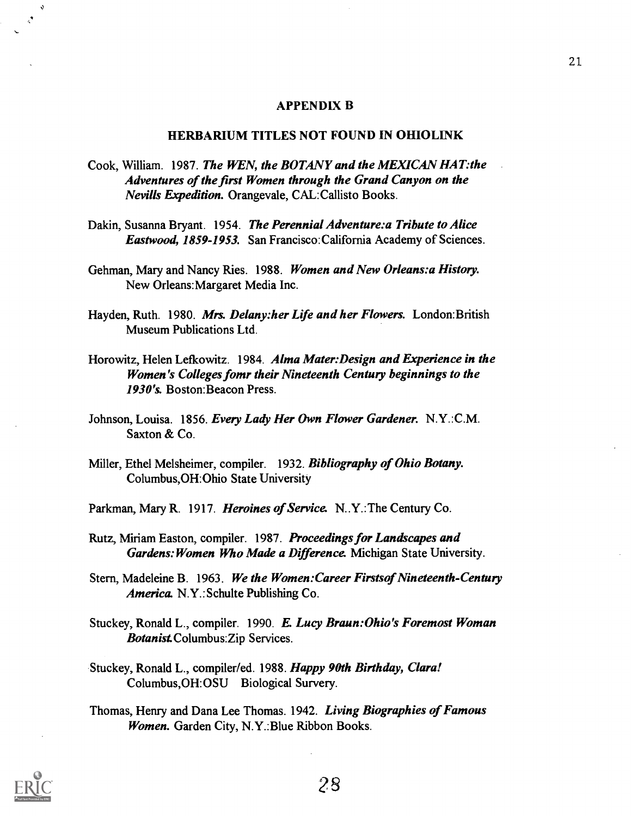#### APPENDIX B

## HERBARIUM TITLES NOT FOUND IN OHIOLINK

- Cook, William. 1987. The WEN, the BOTANY and the MEXICAN HAT:the Adventures of the first Women through the Grand Canyon on the Nevills Expedition. Orangevale, CAL:Callisto Books.
- Dakin, Susanna Bryant. 1954. The Perennial Adventure:a Tribute to Alice Eastwood, 1859-1953. San Francisco:California Academy of Sciences.
- Gehman, Mary and Nancy Ries. 1988. Women and New Orleans: a History. New Orleans:Margaret Media Inc.
- Hayden, Ruth. 1980. Mrs. Delany: her Life and her Flowers. London: British Museum Publications Ltd.
- Horowitz, Helen Lefkowitz. 1984. Alma Mater: Design and Experience in the Women's Colleges fomr their Nineteenth Century beginnings to the 1930's. Boston:Beacon Press.
- Johnson, Louisa. 1856. Every Lady Her Own Flower Gardener. N.Y.:C.M. Saxton & Co.
- Miller, Ethel Melsheimer, compiler. 1932. Bibliography of Ohio Botany. Columbus,OH:Ohio State University
- Parkman, Mary R. 1917. Heroines of Service. N.Y.: The Century Co.
- Rutz, Miriam Easton, compiler. 1987. Proceedings for Landscapes and Gardens: Women Who Made a Difference. Michigan State University.
- Stern, Madeleine B. 1963. We the Women: Career Firsts of Nineteenth-Century America. N.Y.: Schulte Publishing Co.
- Stuckey, Ronald L., compiler. 1990. E. Lucy Braun: Ohio's Foremost Woman Botanist Columbus:Zip Services.
- Stuckey, Ronald L., compiler/ed. 1988. Happy 90th Birthday, Clara! Columbus,OH:OSU Biological Survery.
- Thomas, Henry and Dana Lee Thomas. 1942. Living Biographies of Famous Women. Garden City, N.Y.: Blue Ribbon Books.